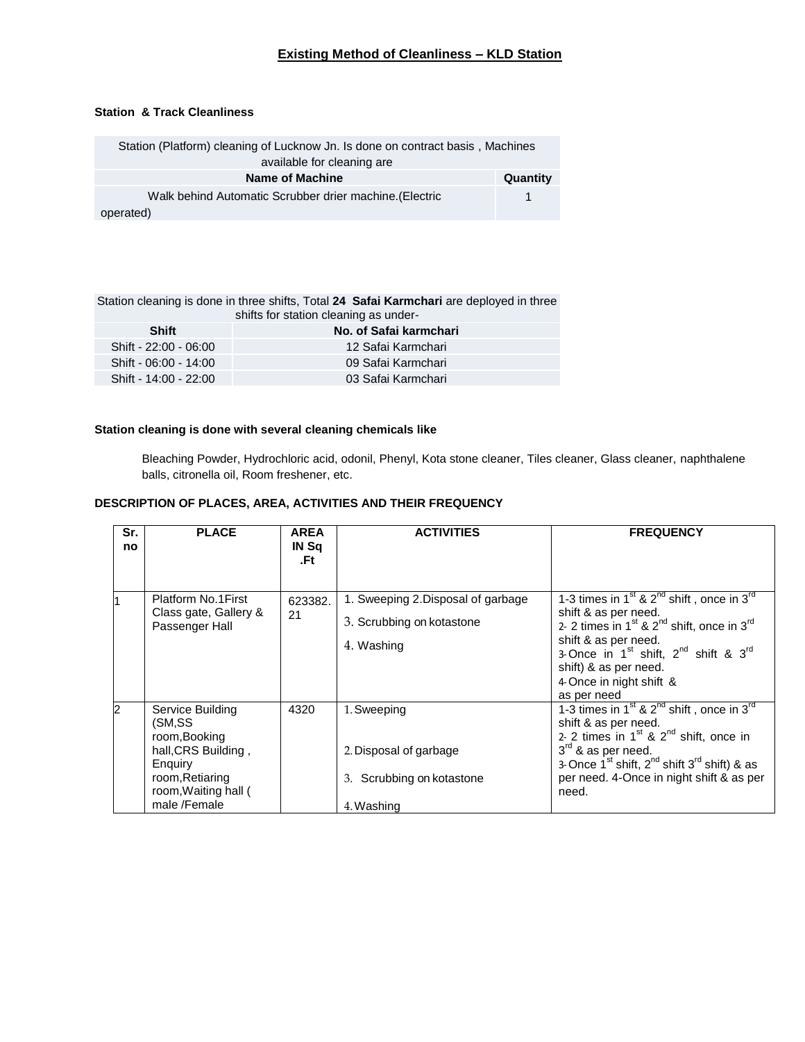## **Existing Method of Cleanliness – KLD Station**

## **Station & Track Cleanliness**

| Station (Platform) cleaning of Lucknow Jn. Is done on contract basis, Machines |          |  |  |
|--------------------------------------------------------------------------------|----------|--|--|
| available for cleaning are                                                     |          |  |  |
| Name of Machine                                                                | Quantity |  |  |
| Walk behind Automatic Scrubber drier machine. (Electric                        |          |  |  |
| operated)                                                                      |          |  |  |

Station cleaning is done in three shifts, Total **24 Safai Karmchari** are deployed in three shifts for station cleaning as under-

| <b>Shift</b>          | No. of Safai karmchari |  |  |  |  |
|-----------------------|------------------------|--|--|--|--|
| Shift - 22:00 - 06:00 | 12 Safai Karmchari     |  |  |  |  |
| Shift - 06:00 - 14:00 | 09 Safai Karmchari     |  |  |  |  |
| Shift - 14:00 - 22:00 | 03 Safai Karmchari     |  |  |  |  |

## **Station cleaning is done with several cleaning chemicals like**

Bleaching Powder, Hydrochloric acid, odonil, Phenyl, Kota stone cleaner, Tiles cleaner, Glass cleaner, naphthalene balls, citronella oil, Room freshener, etc.

## **DESCRIPTION OF PLACES, AREA, ACTIVITIES AND THEIR FREQUENCY**

| Sr.<br>no | <b>PLACE</b>                                                                                                                             | <b>AREA</b><br>IN Sq<br>.Ft | <b>ACTIVITIES</b>                                                                   | <b>FREQUENCY</b>                                                                                                                                                                                                                                                                                                     |
|-----------|------------------------------------------------------------------------------------------------------------------------------------------|-----------------------------|-------------------------------------------------------------------------------------|----------------------------------------------------------------------------------------------------------------------------------------------------------------------------------------------------------------------------------------------------------------------------------------------------------------------|
|           | Platform No.1First<br>Class gate, Gallery &<br>Passenger Hall                                                                            | 623382.<br>21               | 1. Sweeping 2. Disposal of garbage<br>3. Scrubbing on kotastone<br>4. Washing       | 1-3 times in $1^{st}$ & $2^{nd}$ shift, once in $3^{rd}$<br>shift & as per need.<br>2- 2 times in 1 <sup>st</sup> & 2 <sup>nd</sup> shift, once in 3 <sup>rd</sup><br>shift & as per need.<br>3-Once in $1^{st}$ shift, $2^{nd}$ shift & $3^{rd}$<br>shift) & as per need.<br>4 Once in night shift &<br>as per need |
| 2         | Service Building<br>(SM,SS<br>room, Booking<br>hall, CRS Building,<br>Enquiry<br>room, Retiaring<br>room, Waiting hall (<br>male /Female | 4320                        | 1. Sweeping<br>2. Disposal of garbage<br>Scrubbing on kotastone<br>3.<br>4. Washing | 1-3 times in $1^{st}$ & $2^{nd}$ shift, once in $3^{rd}$<br>shift & as per need.<br>2- 2 times in $1st$ & $2nd$ shift, once in<br>$3rd$ & as per need.<br>3-Once $1^{st}$ shift, $2^{nd}$ shift $3^{rd}$ shift) & as<br>per need. 4-Once in night shift & as per<br>need.                                            |